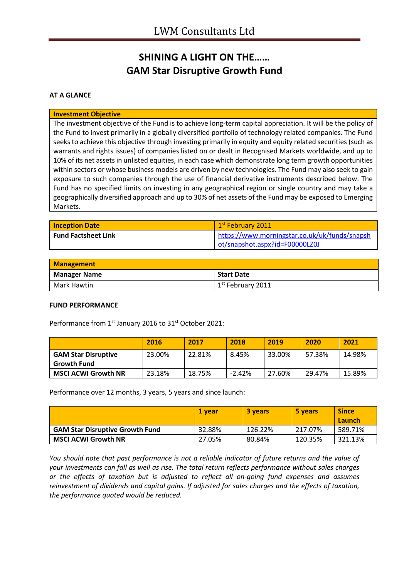## **SHINING A LIGHT ON THE…… GAM Star Disruptive Growth Fund**

### **AT A GLANCE**

#### **Investment Objective**

The investment objective of the Fund is to achieve long-term capital appreciation. It will be the policy of the Fund to invest primarily in a globally diversified portfolio of technology related companies. The Fund seeks to achieve this objective through investing primarily in equity and equity related securities (such as warrants and rights issues) of companies listed on or dealt in Recognised Markets worldwide, and up to 10% of its net assets in unlisted equities, in each case which demonstrate long term growth opportunities within sectors or whose business models are driven by new technologies. The Fund may also seek to gain exposure to such companies through the use of financial derivative instruments described below. The Fund has no specified limits on investing in any geographical region or single country and may take a geographically diversified approach and up to 30% of net assets of the Fund may be exposed to Emerging Markets.

| <b>Inception Date</b>      | 1 <sup>st</sup> February 2011                 |
|----------------------------|-----------------------------------------------|
| <b>Fund Factsheet Link</b> | https://www.morningstar.co.uk/uk/funds/snapsh |
|                            | ot/snapshot.aspx?id=F00000LZ0J                |

| <b>Management</b>   |                                       |
|---------------------|---------------------------------------|
| <b>Manager Name</b> | <b>Start Date</b>                     |
| Mark Hawtin         | $\vert$ 1 <sup>st</sup> February 2011 |

#### **FUND PERFORMANCE**

Performance from 1<sup>st</sup> January 2016 to 31<sup>st</sup> October 2021:

|                                                  | 2016   | 2017   | 2018     | 2019   | 2020   | 2021   |
|--------------------------------------------------|--------|--------|----------|--------|--------|--------|
| <b>GAM Star Disruptive</b><br><b>Growth Fund</b> | 23.00% | 22.81% | 8.45%    | 33.00% | 57.38% | 14.98% |
| <b>MSCI ACWI Growth NR</b>                       | 23.18% | 18.75% | $-2.42%$ | 27.60% | 29.47% | 15.89% |

Performance over 12 months, 3 years, 5 years and since launch:

|                                        | 1 vear | <b>3 years</b> | 5 years | <b>Since</b><br>Launch |
|----------------------------------------|--------|----------------|---------|------------------------|
| <b>GAM Star Disruptive Growth Fund</b> | 32.88% | 126.22%        | 217.07% | 589.71%                |
| <b>MSCI ACWI Growth NR</b>             | 27.05% | 80.84%         | 120.35% | 321.13%                |

*You should note that past performance is not a reliable indicator of future returns and the value of your investments can fall as well as rise. The total return reflects performance without sales charges or the effects of taxation but is adjusted to reflect all on-going fund expenses and assumes reinvestment of dividends and capital gains. If adjusted for sales charges and the effects of taxation, the performance quoted would be reduced.*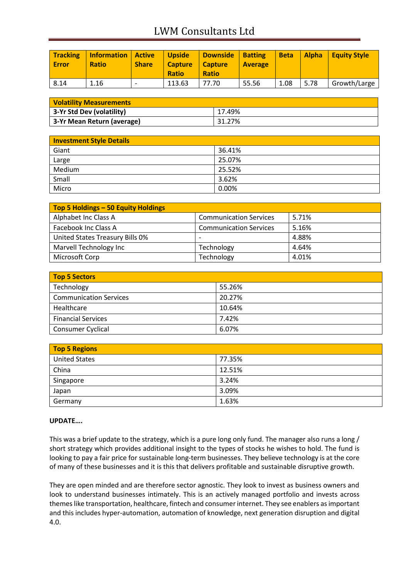# LWM Consultants Ltd

| <b>Tracking</b><br><b>Error</b> | <b>Information Active</b><br><b>Ratio</b> | <b>Share</b>             | <b>Upside</b><br><b>Capture</b><br><b>Ratio</b> | Downside   Batting<br>  Capture<br><b>Ratio</b> | <b>Average</b> | <b>Beta</b> | <b>Alpha</b> | Equity Style |
|---------------------------------|-------------------------------------------|--------------------------|-------------------------------------------------|-------------------------------------------------|----------------|-------------|--------------|--------------|
| 8.14                            | 1.16                                      | $\overline{\phantom{0}}$ | 113.63                                          | 77.70                                           | 55.56          | 1.08        | 5.78         | Growth/Large |

| <b>Volatility Measurements</b> |        |
|--------------------------------|--------|
| 3-Yr Std Dev (volatility)      | 17.49% |
| 3-Yr Mean Return (average)     | 31.27% |

| <b>Investment Style Details</b> |        |  |
|---------------------------------|--------|--|
| Giant                           | 36.41% |  |
| Large                           | 25.07% |  |
| Medium                          | 25.52% |  |
| Small                           | 3.62%  |  |
| Micro                           | 0.00%  |  |

| Top 5 Holdings - 50 Equity Holdings |                               |       |
|-------------------------------------|-------------------------------|-------|
| Alphabet Inc Class A                | <b>Communication Services</b> | 5.71% |
| Facebook Inc Class A                | <b>Communication Services</b> | 5.16% |
| United States Treasury Bills 0%     | $\overline{\phantom{0}}$      | 4.88% |
| Marvell Technology Inc              | Technology                    | 4.64% |
| Microsoft Corp                      | Technology                    | 4.01% |

| Top 5 Sectors                 |        |  |
|-------------------------------|--------|--|
| Technology                    | 55.26% |  |
| <b>Communication Services</b> | 20.27% |  |
| Healthcare                    | 10.64% |  |
| <b>Financial Services</b>     | 7.42%  |  |
| <b>Consumer Cyclical</b>      | 6.07%  |  |

| <b>Top 5 Regions</b> |        |
|----------------------|--------|
| <b>United States</b> | 77.35% |
| China                | 12.51% |
| Singapore            | 3.24%  |
| Japan                | 3.09%  |
| Germany              | 1.63%  |

### **UPDATE….**

This was a brief update to the strategy, which is a pure long only fund. The manager also runs a long / short strategy which provides additional insight to the types of stocks he wishes to hold. The fund is looking to pay a fair price for sustainable long-term businesses. They believe technology is at the core of many of these businesses and it is this that delivers profitable and sustainable disruptive growth.

They are open minded and are therefore sector agnostic. They look to invest as business owners and look to understand businesses intimately. This is an actively managed portfolio and invests across themes like transportation, healthcare, fintech and consumer internet. They see enablers as important and this includes hyper-automation, automation of knowledge, next generation disruption and digital 4.0.